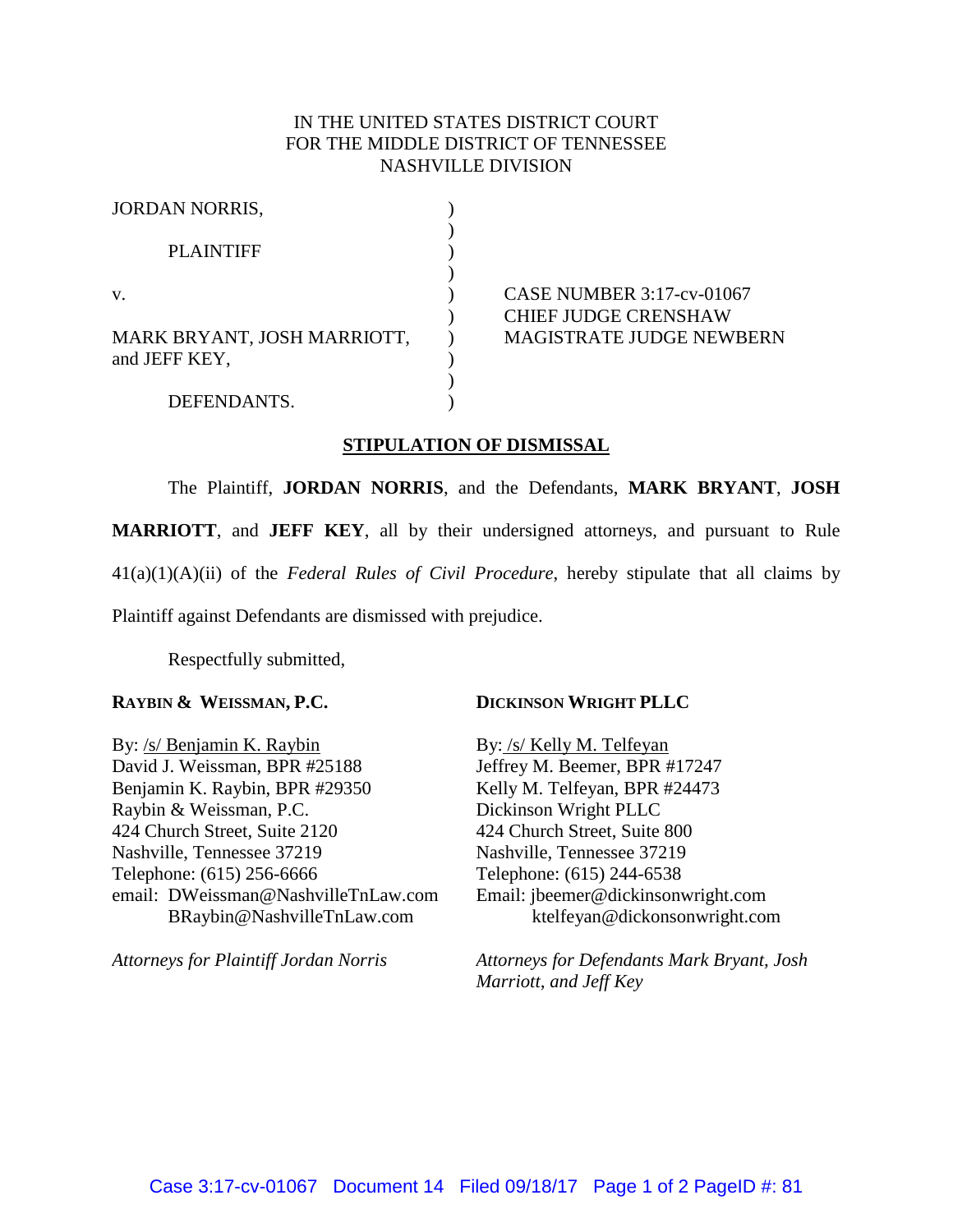# IN THE UNITED STATES DISTRICT COURT FOR THE MIDDLE DISTRICT OF TENNESSEE NASHVILLE DIVISION

| <b>CASE NUMBER 3:17-cv-01067</b> |
|----------------------------------|
| <b>CHIEF JUDGE CRENSHAW</b>      |
| <b>MAGISTRATE JUDGE NEWBERN</b>  |
|                                  |
|                                  |
|                                  |
|                                  |

## **STIPULATION OF DISMISSAL**

The Plaintiff, **JORDAN NORRIS**, and the Defendants, **MARK BRYANT**, **JOSH** 

**MARRIOTT**, and **JEFF KEY**, all by their undersigned attorneys, and pursuant to Rule

41(a)(1)(A)(ii) of the *Federal Rules of Civil Procedure*, hereby stipulate that all claims by

Plaintiff against Defendants are dismissed with prejudice.

Respectfully submitted,

### **RAYBIN & WEISSMAN, P.C.**

By: /s/ Benjamin K. Raybin David J. Weissman, BPR #25188 Benjamin K. Raybin, BPR #29350 Raybin & Weissman, P.C. 424 Church Street, Suite 2120 Nashville, Tennessee 37219 Telephone: (615) 256-6666 email: DWeissman@NashvilleTnLaw.com BRaybin@NashvilleTnLaw.com

*Attorneys for Plaintiff Jordan Norris*

## **DICKINSON WRIGHT PLLC**

By: /s/ Kelly M. Telfeyan Jeffrey M. Beemer, BPR #17247 Kelly M. Telfeyan, BPR #24473 Dickinson Wright PLLC 424 Church Street, Suite 800 Nashville, Tennessee 37219 Telephone: (615) 244-6538 Email: jbeemer@dickinsonwright.com ktelfeyan@dickonsonwright.com

*Attorneys for Defendants Mark Bryant, Josh Marriott, and Jeff Key*